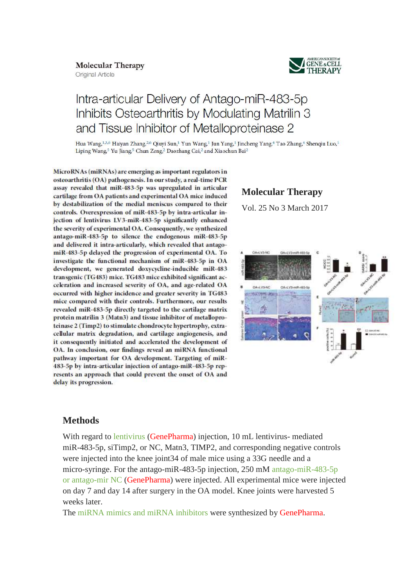## **Molecular Therapy**

**Original Article** 



# Intra-articular Delivery of Antago-miR-483-5p Inhibits Osteoarthritis by Modulating Matrilin 3 and Tissue Inhibitor of Metalloproteinase 2

Hua Wang, 13,6 Haiyan Zhang, 2,6 Qiuyi Sun, 1 Yun Wang, 1 Jun Yang, 1 Jincheng Yang, 4 Tao Zhang, 4 Shenqiu Luo, 1 Liping Wang,<sup>5</sup> Yu Jiang,<sup>5</sup> Chun Zeng,<sup>2</sup> Daozhang Cai,<sup>2</sup> and Xiaochun Bai<sup>2</sup>

MicroRNAs (miRNAs) are emerging as important regulators in osteoarthritis (OA) pathogenesis. In our study, a real-time PCR assay revealed that miR-483-5p was upregulated in articular cartilage from OA patients and experimental OA mice induced by destabilization of the medial meniscus compared to their controls. Overexpression of miR-483-5p by intra-articular injection of lentivirus LV3-miR-483-5p significantly enhanced the severity of experimental OA. Consequently, we synthesized antago-miR-483-5p to silence the endogenous miR-483-5p and delivered it intra-articularly, which revealed that antagomiR-483-5p delayed the progression of experimental OA. To investigate the functional mechanism of miR-483-5p in OA development, we generated doxycycline-inducible miR-483 transgenic (TG483) mice. TG483 mice exhibited significant acceleration and increased severity of OA, and age-related OA occurred with higher incidence and greater severity in TG483 mice compared with their controls. Furthermore, our results revealed miR-483-5p directly targeted to the cartilage matrix protein matrilin 3 (Matn3) and tissue inhibitor of metalloproteinase 2 (Timp2) to stimulate chondrocyte hypertrophy, extracellular matrix degradation, and cartilage angiogenesis, and it consequently initiated and accelerated the development of OA. In conclusion, our findings reveal an miRNA functional pathway important for OA development. Targeting of miR-483-5p by intra-articular injection of antago-miR-483-5p represents an approach that could prevent the onset of OA and delay its progression.

## **Molecular Therapy**

Vol. 25 No 3 March 2017



## **Methods**

With regard to lentivirus (GenePharma) injection, 10 mL lentivirus- mediated miR-483-5p, siTimp2, or NC, Matn3, TIMP2, and corresponding negative controls were injected into the knee joint34 of male mice using a 33G needle and a micro-syringe. For the antago-miR-483-5p injection, 250 mM antago-miR-483-5p or antago-mir NC (GenePharma) were injected. All experimental mice were injected on day 7 and day 14 after surgery in the OA model. Knee joints were harvested 5 weeks later.

The miRNA mimics and miRNA inhibitors were synthesized by GenePharma.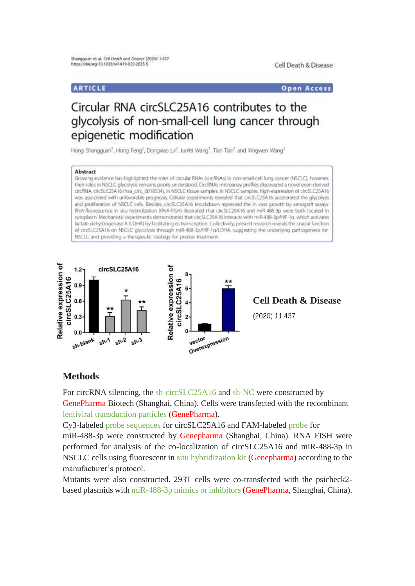## **ARTICLE**

**Open Access** 

# Circular RNA circSLC25A16 contributes to the glycolysis of non-small-cell lung cancer through epigenetic modification

Hong Shangguan<sup>1</sup>, Hong Feng<sup>2</sup>, Dongxiao Lv<sup>2</sup>, Junfel Wang<sup>1</sup>, Tian Tian<sup>1</sup> and Xingwen Wang<sup>2</sup>

#### Abstract

Growing evidence has highlighted the roles of circular RNAs (circRNAs) in non-small-cell lung cancer (NSCLC), however, their roles in NSCLC glycolysis remains poorly understood. CircRNAs microarray profiles discovered a novel exon-derived circRNA, circSLC25A16 (hsa\_circ\_0018534), In NSCLC tissue samples. In NSCLC samples, high-expression of circSLC25A16 was associated with unfavorable prognosis. Cellular experiments revealed that circSLC25A16 accelerated the glycolysis and proliferation of NSCLC cells. Besides, circSLC2SA16 knockdown repressed the in vivo growth by xenograft assays. RNA-fluorescence in situ hybridization (RNA-FISH) illustrated that circSLC25A16 and miR-488-3p were both located in cytoplasm. Mechanistic experiments demonstrated that circSLC2SA16 interacts with miR-488-3p/HIF-1a, which activates lactate dehydrogenase A (LDHA) by facilitating its transcription. Collectively, present research reveals the crucial function of circSLC2SA16 on NSCLC glycolysis through miR-488-3p/HIF-1a/LDHA, suggesting the underlying pathogenesis for NSCLC and providing a therapeutic strategy for precise treatment.



**Cell Death & Disease** (2020) 11:437

### **Methods**

For circRNA silencing, the sh-circSLC25A16 and sh-NC were constructed by GenePharma Biotech (Shanghai, China). Cells were transfected with the recombinant lentiviral transduction particles (GenePharma).

Cy3-labeled probe sequences for circSLC25A16 and FAM-labeled probe for miR-488-3p were constructed by Genepharma (Shanghai, China). RNA FISH were performed for analysis of the co-localization of circSLC25A16 and miR-488-3p in NSCLC cells using fluorescent in situ hybridization kit (Genepharma) according to the manufacturer's protocol.

Mutants were also constructed. 293T cells were co-transfected with the psicheck2 based plasmids with miR-488-3p mimics or inhibitors (GenePharma, Shanghai, China).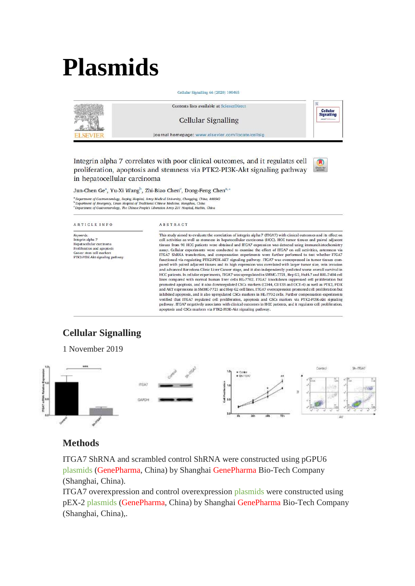# **Plasmids**

Contents lists available at ScienceDirect Cellular<br>Signalling **Cellular Signalling** journal homepage: www.elsevier.com/locate/cellsig **FI SEVIE** 

Cellular Signalling 66 (2020) 109465

Integrin alpha 7 correlates with poor clinical outcomes, and it regulates cell proliferation, apoptosis and stemness via PTK2-PI3K-Akt signaling pathway in hepatocellular carcinoma

Jun-Chen Ge<sup>a</sup>, Yu-Xi Wang<sup>b</sup>, Zhi-Biao Chen<sup>c</sup>, Dong-Feng Chen<sup>a,\*</sup>

\* Department of Gastroenterology, Daping Hospital, Army Medical University, Chongqing, China, 400042<br>\* Department of Emergency, Linan Hospital of Traditional Chinese Medicine, Hangshou, China<br>\* Department of Gastroenterolo

#### ARTICLE INFO

#### ABSTRACT

Keywords: *Aeywords:*<br>Integrin alpha 7<br>Hepatocellular carcinoma<br>Proliferation and apoptosis Cancer stem cell markers PTK2-PI3K-Akt signaling pathway This study aimed to evaluate the correlation of integrin alpha 7 (ITGA7) with clinical outcomes and its effect on cell activities as well as stemness in hepatocellular carcinoma (HCC). HCC tumor tissues and paired adjacent tissues from 90 HCC patients were obtained and ITGA7 expression was detected using immunohistochemistry Cellular experiments were conducted to examine the effect of ITGA7 on cell activities, astem assay. Cellular experiments were conducted to examine the effect of HGA7 on cell activities, astemness via<br>ITGA7 ShRNA transfection, and compensation experiments were further performed to test whether ITGA7 functioned via regulating PTK2-PI3K-AKT signaling pathway. ITGA7 was overexpressed in tumor tissues compared with paired adjacent tissues and its high expression was correlated with larger tumor size, vein invasion and advanced Barcelona Clinic Liver Cancer stage, and it also independently predicted worse overall survival in HCC patients. In cellular experiments, ITGA7 was upregulated in SMMC-7721, Hep G2, HuH-7 and BEL-7404 cell<br>lines compared with normal human liver cells HL-7702. ITGA7 knockdown suppressed cell proliferation but promoted apoptosis, and it also downregulated CSCs markers (CD44, CD133 and OCT-4) as well as PTK2, PI3K<br>and AKT expressions in SMMC-7721 and Hep G2 cell lines. ITGA7 overexpression promoted cell proliferation but inhibited apoptosis, and it also upregulated CSCs markers in HL-7702 cells. Further compensation experiments verified that ITGA7 regulated cell proliferation, apoptosis and CSCs markers via PTK2-PI3K-Akt signaling  $\rm{pathway}$  .  $\rm{ITGA7}$  negatively associates with clinical outcomes in HCC patients, and it regulates cell proliferation apoptosis and CSCs markers via PTK2-PI3K-Akt signaling pathway.

## **Cellular Signalling**

1 November 2019 Covern 36,00542 mita) CARDH

## **Methods**

ITGA7 ShRNA and scrambled control ShRNA were constructed using pGPU6 plasmids (GenePharma, China) by Shanghai GenePharma Bio-Tech Company (Shanghai, China).

ITGA7 overexpression and control overexpression plasmids were constructed using pEX-2 plasmids (GenePharma, China) by Shanghai GenePharma Bio-Tech Company (Shanghai, China),.